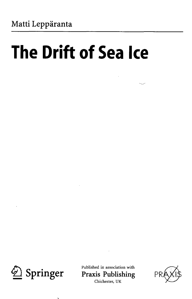## **The Drift of Sea Ice**



Published in association with<br> **Springer** Praxis Publishing **Praxis Publishing** Chichester, UK

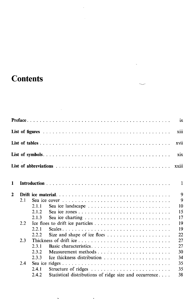## **Contents**

|              |      |        |                                                                                                     |  |  |  | ix           |
|--------------|------|--------|-----------------------------------------------------------------------------------------------------|--|--|--|--------------|
|              |      |        |                                                                                                     |  |  |  | xiii         |
|              |      |        |                                                                                                     |  |  |  | xvii         |
|              |      |        |                                                                                                     |  |  |  | xix          |
|              |      |        |                                                                                                     |  |  |  | xxiii        |
| 1            |      |        |                                                                                                     |  |  |  | $\mathbf{1}$ |
| $\mathbf{z}$ |      |        |                                                                                                     |  |  |  | 9            |
|              | 2.1  |        | Sea ice cover $\dots \dots \dots \dots \dots \dots \dots \dots \dots \dots \dots \dots \dots \dots$ |  |  |  | 9            |
|              |      | 2.1.1  |                                                                                                     |  |  |  | 10           |
|              |      | 2.1.2. |                                                                                                     |  |  |  | 15           |
|              |      | 2.1.3  |                                                                                                     |  |  |  | 17           |
|              | 2.2. |        |                                                                                                     |  |  |  | 19           |
|              |      | 2.2.1  |                                                                                                     |  |  |  | 19           |
|              |      | 2.2.2. |                                                                                                     |  |  |  | 22           |
|              | 2.3  |        |                                                                                                     |  |  |  | 27           |
|              |      | 2.3.1  |                                                                                                     |  |  |  | 27           |
|              |      | 2.3.2  | Measurement methods                                                                                 |  |  |  | 30           |
|              |      | 2.3.3  |                                                                                                     |  |  |  | 34           |
|              | 2.4  |        |                                                                                                     |  |  |  | 35           |
|              |      | 2.4.1  |                                                                                                     |  |  |  | 35           |
|              |      | 2.4.2  | Statistical distributions of ridge size and occurrence                                              |  |  |  | 38           |
|              |      |        |                                                                                                     |  |  |  |              |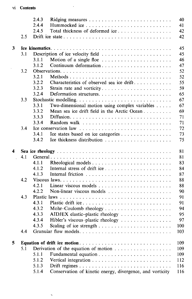## vi Contents

 $\sim 100$ 

|   |     | 2.4.3                                                   | 40  |
|---|-----|---------------------------------------------------------|-----|
|   |     | 2.4.4                                                   | 41  |
|   |     | 2.4.5<br>Total thickness of deformed ice                | 42  |
|   | 2.5 |                                                         | 42  |
|   |     |                                                         |     |
| 3 |     |                                                         | 45  |
|   | 3.1 |                                                         | 45  |
|   |     | 3.1.1<br>Motion of a single floe                        | 46  |
|   |     | 3.1.2<br>Continuum deformation                          | 47  |
|   | 3.2 |                                                         | 52  |
|   |     | 3.2.1                                                   | 52  |
|   |     | 3.2.2<br>Characteristics of observed sea ice drift      | 55  |
|   |     | 3.2.3<br>Strain rate and vorticity                      | 59  |
|   |     | 3.2.4                                                   | 65  |
|   | 3.3 | Stochastic modelling                                    | 67  |
|   |     | 3.3.1<br>Two-dimensional motion using complex variables | 67  |
|   |     | 3.3.2<br>Mean sea ice drift field in the Arctic Ocean   | 69  |
|   |     | 3.3.3                                                   | 71  |
|   |     | 3.3.4                                                   | 71  |
|   | 3.4 |                                                         | 72  |
|   |     | 3.4.1<br>Ice states based on ice categories             | 73  |
|   |     | 3.4.2                                                   | 75  |
|   |     |                                                         |     |
|   |     |                                                         |     |
|   |     |                                                         |     |
| 4 |     |                                                         | 81  |
|   | 4.1 |                                                         | 81  |
|   |     | 4.1.1                                                   | 83  |
|   |     | 4.1.2                                                   | 84  |
|   |     | 4.1.3                                                   | 87  |
|   | 4.2 |                                                         | 88  |
|   |     | 4.2.1                                                   | 88  |
|   |     | 4.2.2                                                   | 90  |
|   | 4.3 |                                                         | 91  |
|   |     | 4.3.1<br>Plastic drift ice                              | 91  |
|   |     | 4.3.2                                                   | 94  |
|   |     | 4.3.3<br>AIDJEX elastic-plastic rheology                | 95  |
|   |     | 4.3.4<br>Hibler's viscous-plastic rheology              | 97  |
|   |     | 4.3.5                                                   | 100 |
|   | 4.4 |                                                         | 103 |
|   |     |                                                         |     |
| 5 |     |                                                         | 109 |
|   | 5.1 | Derivation of the equation of motion                    | 109 |
|   |     | 5.1.1                                                   | 109 |
|   |     | 5.1.2                                                   | 112 |
|   |     | 5.1.3<br>5.1.4                                          | 116 |

 $\ddot{\phantom{1}}$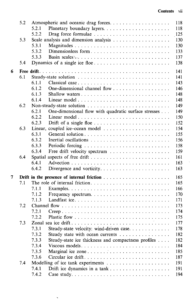$\ddot{\phantom{0}}$ 

|   | 5.2 | 118<br>Atmospheric and oceanic drag forces                                         |
|---|-----|------------------------------------------------------------------------------------|
|   |     | 5.2.1<br>118                                                                       |
|   |     | 5.2.2<br>125<br>Drag force formulae                                                |
|   | 5.3 | 130                                                                                |
|   |     | 5.3.1<br>130                                                                       |
|   |     | 5.3.2<br>Dimensionless form<br>133                                                 |
|   |     | 5.3.3<br>137                                                                       |
|   | 5.4 | 138                                                                                |
| 6 |     | 141                                                                                |
|   | 6.1 | 141                                                                                |
|   |     | 6.1.1<br>143                                                                       |
|   |     | 6.1.2<br>146                                                                       |
|   |     | 6.1.3<br>148                                                                       |
|   |     | 6.1.4<br>148                                                                       |
|   | 6.2 | Non-steady-state solution<br>149                                                   |
|   |     | 6.2.1<br>One-dimensional flow with quadratic surface stresses<br>149               |
|   |     | 6.2.2<br>150                                                                       |
|   |     | 6.2.3<br>Drift of a single floe<br>152                                             |
|   | 6.3 | Linear, coupled ice-ocean model $\dots \dots \dots \dots \dots \dots \dots$<br>154 |
|   |     | 6.3.1<br>General solution<br>155                                                   |
|   |     | 6.3.2<br>156                                                                       |
|   |     | 6.3.3<br>158                                                                       |
|   |     | 6.3.4<br>159                                                                       |
|   | 6.4 | 161                                                                                |
|   |     | 6.4.1<br>163                                                                       |
|   |     | 6.4.2<br>163<br>Divergence and vorticity                                           |
| 7 |     | 165                                                                                |
|   | 7.1 | 165<br>The role of internal friction                                               |
|   |     | 166<br>7.1.1                                                                       |
|   |     | 7.1.2<br>170                                                                       |
|   |     | 7.1.3<br>171                                                                       |
|   | 7.2 | 173                                                                                |
|   |     | 7.2.1<br>174                                                                       |
|   |     | 7.2.2<br>175                                                                       |
|   | 7.3 | Zonal sea ice drift<br>177                                                         |
|   |     | 178<br>7.3.1<br>Steady-state velocity: wind-driven case                            |
|   |     | 182<br>7.3.2                                                                       |
|   |     | Steady state with ocean currents<br>7.3.3                                          |
|   |     | Steady-state ice thickness and compactness profiles<br>182<br>7.3.4<br>184         |
|   |     | 7.3.5<br>185                                                                       |
|   |     | 7.3.6                                                                              |
|   |     | 187<br>Circular ice drift                                                          |
|   | 7.4 | 191                                                                                |
|   |     | 191<br>7.4.1                                                                       |
|   |     | 7.4.2<br>194                                                                       |

 $\ddot{\phantom{0}}$